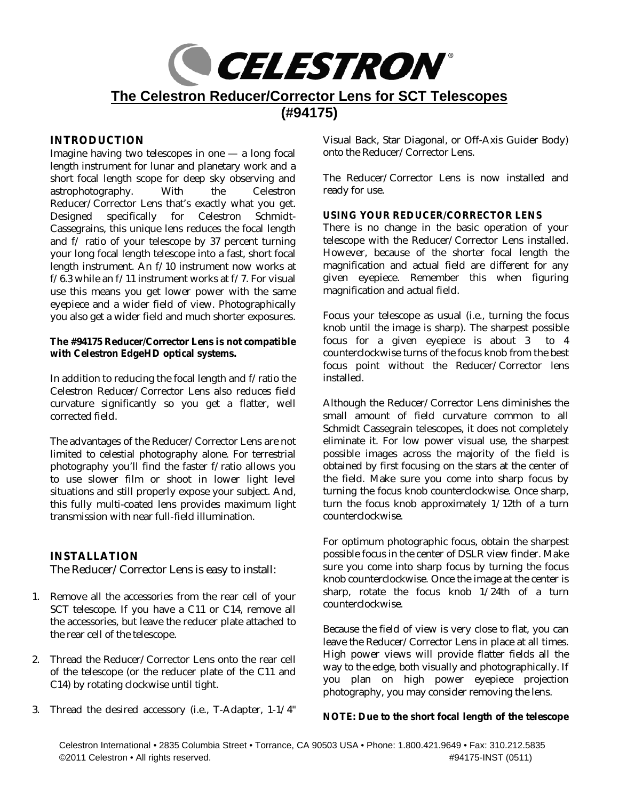

## **INTRODUCTION**

Imagine having two telescopes in one — a long focal length instrument for lunar and planetary work and a short focal length scope for deep sky observing and astrophotography. With the Celestron Reducer/Corrector Lens that's exactly what you get. Designed specifically for Celestron Schmidt-Cassegrains, this unique lens reduces the focal length and f/ ratio of your telescope by 37 percent turning your long focal length telescope into a fast, short focal length instrument. An f/10 instrument now works at f/6.3 while an f/11 instrument works at f/7. For visual use this means you get lower power with the same eyepiece and a wider field of view. Photographically you also get a wider field and much shorter exposures.

**The #94175 Reducer/Corrector Lens is not compatible with Celestron EdgeHD optical systems.**

In addition to reducing the focal length and f/ratio the Celestron Reducer/Corrector Lens also reduces field curvature significantly so you get a flatter, well corrected field.

The advantages of the Reducer/Corrector Lens are not limited to celestial photography alone. For terrestrial photography you'll find the faster f/ratio allows you to use slower film or shoot in lower light level situations and still properly expose your subject. And, this fully multi-coated lens provides maximum light transmission with near full-field illumination.

**INSTALLATION** The Reducer/Corrector Lens is easy to install:

- 1. Remove all the accessories from the rear cell of your SCT telescope. If you have a C11 or C14, remove all the accessories, but leave the reducer plate attached to the rear cell of the telescope.
- 2. Thread the Reducer/Corrector Lens onto the rear cell of the telescope (or the reducer plate of the C11 and C14) by rotating clockwise until tight.
- 3. Thread the desired accessory (i.e., T-Adapter, 1-1/4"

Visual Back, Star Diagonal, or Off-Axis Guider Body) onto the Reducer/Corrector Lens.

The Reducer/Corrector Lens is now installed and ready for use.

## **USING YOUR REDUCER/CORRECTOR LENS**

There is no change in the basic operation of your telescope with the Reducer/Corrector Lens installed. However, because of the shorter focal length the magnification and actual field are different for any given eyepiece. Remember this when figuring magnification and actual field.

Focus your telescope as usual (i.e., turning the focus knob until the image is sharp). The sharpest possible focus for a given eyepiece is about 3 to 4 counterclockwise turns of the focus knob from the best focus point without the Reducer/Corrector lens installed.

Although the Reducer/Corrector Lens diminishes the small amount of field curvature common to all Schmidt Cassegrain telescopes, it does not completely eliminate it. For low power visual use, the sharpest possible images across the majority of the field is obtained by first focusing on the stars at the center of the field. Make sure you come into sharp focus by turning the focus knob counterclockwise. Once sharp, turn the focus knob approximately 1/12th of a turn counterclockwise.

For optimum photographic focus, obtain the sharpest possible focus in the center of DSLR view finder. Make sure you come into sharp focus by turning the focus knob counterclockwise. Once the image at the center is sharp, rotate the focus knob  $1/24$ th of a turn counterclockwise.

Because the field of view is very close to flat, you can leave the Reducer/Corrector Lens in place at all times. High power views will provide flatter fields all the way to the edge, both visually and photographically. If you plan on high power eyepiece projection photography, you may consider removing the lens.

**NOTE: Due to the short focal length of the telescope**